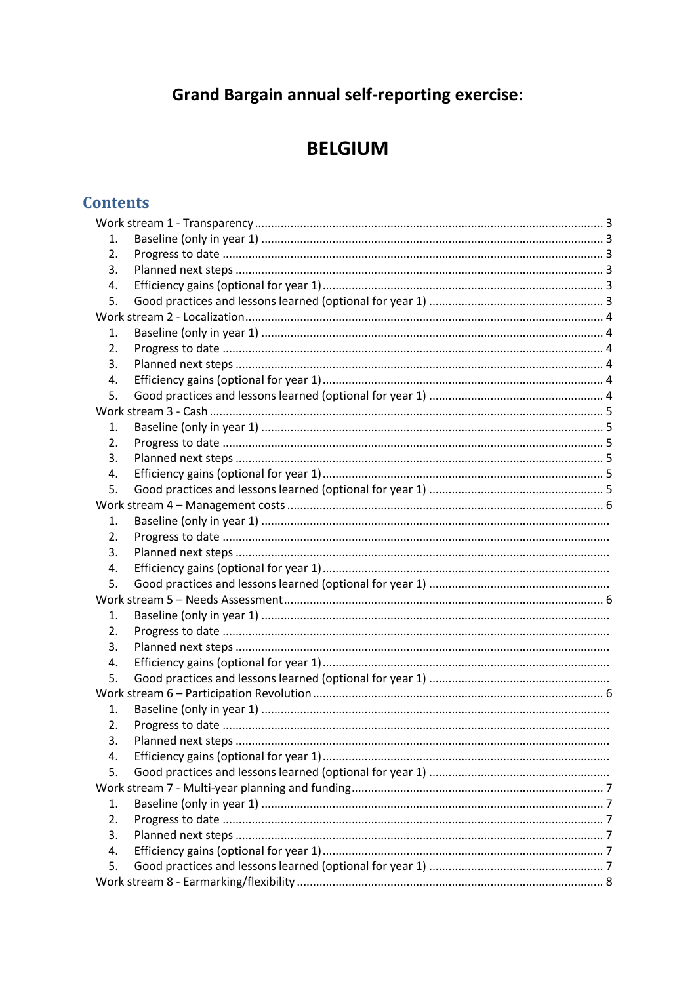# **Grand Bargain annual self-reporting exercise:**

# **BELGIUM**

# **Contents**

| 1.               |  |  |  |  |  |
|------------------|--|--|--|--|--|
| 2.               |  |  |  |  |  |
| 3.               |  |  |  |  |  |
| 4.               |  |  |  |  |  |
| 5.               |  |  |  |  |  |
|                  |  |  |  |  |  |
| 1.               |  |  |  |  |  |
| 2.               |  |  |  |  |  |
| 3.               |  |  |  |  |  |
| 4.               |  |  |  |  |  |
| 5.               |  |  |  |  |  |
|                  |  |  |  |  |  |
| 1.               |  |  |  |  |  |
| $\overline{2}$ . |  |  |  |  |  |
| 3.               |  |  |  |  |  |
| 4.               |  |  |  |  |  |
| 5.               |  |  |  |  |  |
|                  |  |  |  |  |  |
| 1.               |  |  |  |  |  |
| 2.               |  |  |  |  |  |
| 3.               |  |  |  |  |  |
| 4.               |  |  |  |  |  |
| 5.               |  |  |  |  |  |
|                  |  |  |  |  |  |
| 1.               |  |  |  |  |  |
| 2.               |  |  |  |  |  |
| 3.               |  |  |  |  |  |
| 4.               |  |  |  |  |  |
| 5.               |  |  |  |  |  |
|                  |  |  |  |  |  |
| 1.               |  |  |  |  |  |
| 2.               |  |  |  |  |  |
| 3.               |  |  |  |  |  |
| 4.               |  |  |  |  |  |
| 5.               |  |  |  |  |  |
|                  |  |  |  |  |  |
| 1.               |  |  |  |  |  |
| 2.               |  |  |  |  |  |
| 3.               |  |  |  |  |  |
| 4.               |  |  |  |  |  |
| 5.               |  |  |  |  |  |
|                  |  |  |  |  |  |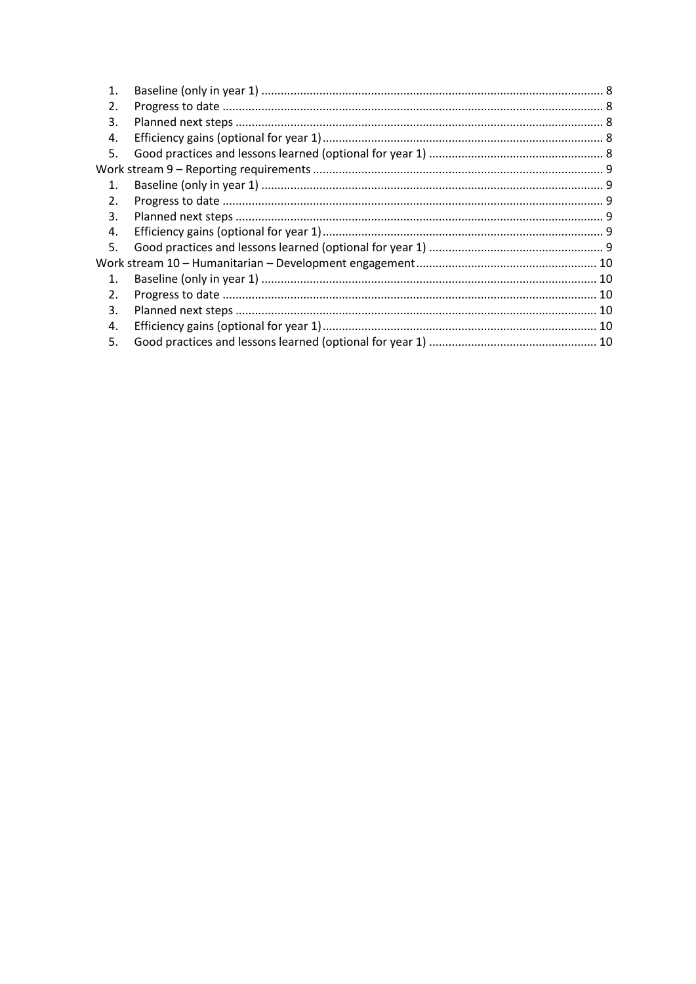| 1.             |  |
|----------------|--|
| 2.             |  |
| 3.             |  |
| 4.             |  |
| 5.             |  |
|                |  |
| $\mathbf{1}$ . |  |
| 2.             |  |
| 3.             |  |
| 4.             |  |
| 5.             |  |
|                |  |
| $\mathbf{1}$ . |  |
| 2.             |  |
| 3.             |  |
| 4.             |  |
| 5.             |  |
|                |  |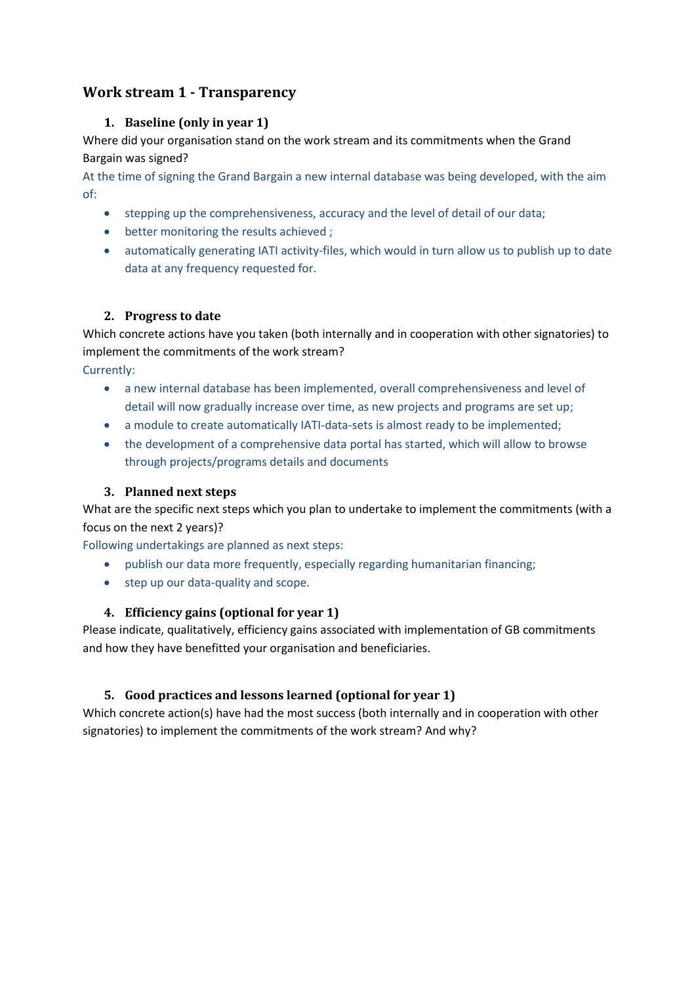# <span id="page-2-1"></span><span id="page-2-0"></span>**Work stream 1 - Transparency**

#### **1. Baseline (only in year 1)**

Where did your organisation stand on the work stream and its commitments when the Grand Bargain was signed?

At the time of signing the Grand Bargain a new internal database was being developed, with the aim of:

- stepping up the comprehensiveness, accuracy and the level of detail of our data;
- better monitoring the results achieved ;
- automatically generating IATI activity-files, which would in turn allow us to publish up to date data at any frequency requested for.

#### <span id="page-2-2"></span>**2. Progress to date**

Which concrete actions have you taken (both internally and in cooperation with other signatories) to implement the commitments of the work stream?

Currently:

- a new internal database has been implemented, overall comprehensiveness and level of detail will now gradually increase over time, as new projects and programs are set up;
- a module to create automatically IATI-data-sets is almost ready to be implemented;
- the development of a comprehensive data portal has started, which will allow to browse through projects/programs details and documents

#### <span id="page-2-3"></span>**3. Planned next steps**

What are the specific next steps which you plan to undertake to implement the commitments (with a focus on the next 2 years)?

Following undertakings are planned as next steps:

- publish our data more frequently, especially regarding humanitarian financing;
- step up our data-quality and scope.

#### <span id="page-2-4"></span>**4. Efficiency gains (optional for year 1)**

Please indicate, qualitatively, efficiency gains associated with implementation of GB commitments and how they have benefitted your organisation and beneficiaries.

#### <span id="page-2-5"></span>**5. Good practices and lessons learned (optional for year 1)**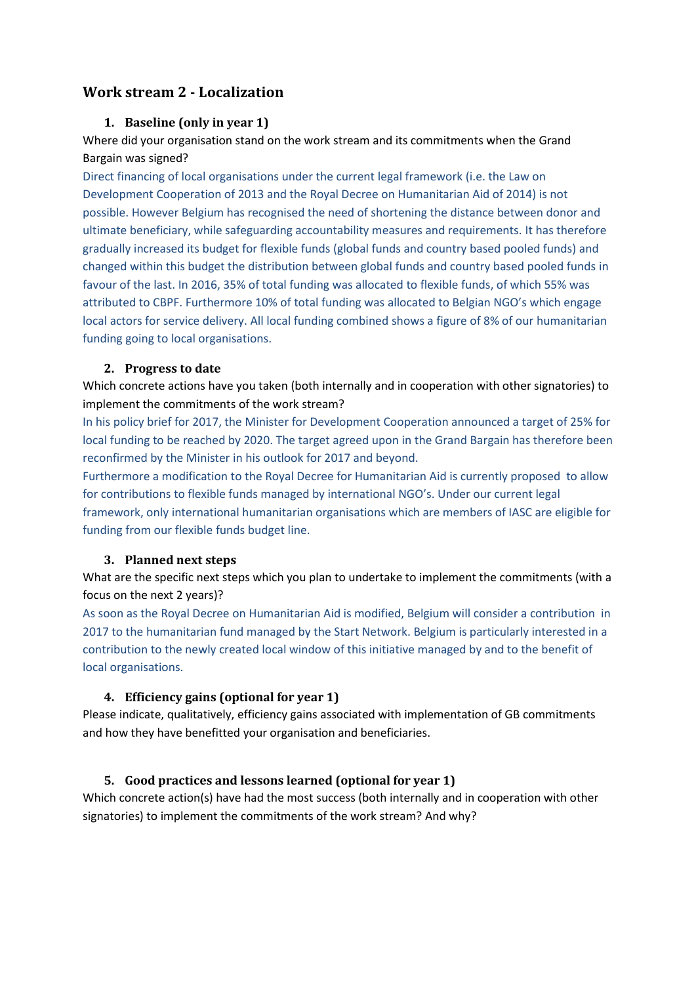## <span id="page-3-1"></span><span id="page-3-0"></span>**Work stream 2 - Localization**

#### **1. Baseline (only in year 1)**

Where did your organisation stand on the work stream and its commitments when the Grand Bargain was signed?

Direct financing of local organisations under the current legal framework (i.e. the Law on Development Cooperation of 2013 and the Royal Decree on Humanitarian Aid of 2014) is not possible. However Belgium has recognised the need of shortening the distance between donor and ultimate beneficiary, while safeguarding accountability measures and requirements. It has therefore gradually increased its budget for flexible funds (global funds and country based pooled funds) and changed within this budget the distribution between global funds and country based pooled funds in favour of the last. In 2016, 35% of total funding was allocated to flexible funds, of which 55% was attributed to CBPF. Furthermore 10% of total funding was allocated to Belgian NGO's which engage local actors for service delivery. All local funding combined shows a figure of 8% of our humanitarian funding going to local organisations.

#### <span id="page-3-2"></span>**2. Progress to date**

Which concrete actions have you taken (both internally and in cooperation with other signatories) to implement the commitments of the work stream?

In his policy brief for 2017, the Minister for Development Cooperation announced a target of 25% for local funding to be reached by 2020. The target agreed upon in the Grand Bargain has therefore been reconfirmed by the Minister in his outlook for 2017 and beyond.

Furthermore a modification to the Royal Decree for Humanitarian Aid is currently proposed to allow for contributions to flexible funds managed by international NGO's. Under our current legal framework, only international humanitarian organisations which are members of IASC are eligible for funding from our flexible funds budget line.

#### <span id="page-3-3"></span>**3. Planned next steps**

What are the specific next steps which you plan to undertake to implement the commitments (with a focus on the next 2 years)?

As soon as the Royal Decree on Humanitarian Aid is modified, Belgium will consider a contribution in 2017 to the humanitarian fund managed by the Start Network. Belgium is particularly interested in a contribution to the newly created local window of this initiative managed by and to the benefit of local organisations.

#### <span id="page-3-4"></span>**4. Efficiency gains (optional for year 1)**

Please indicate, qualitatively, efficiency gains associated with implementation of GB commitments and how they have benefitted your organisation and beneficiaries.

#### <span id="page-3-5"></span>**5. Good practices and lessons learned (optional for year 1)**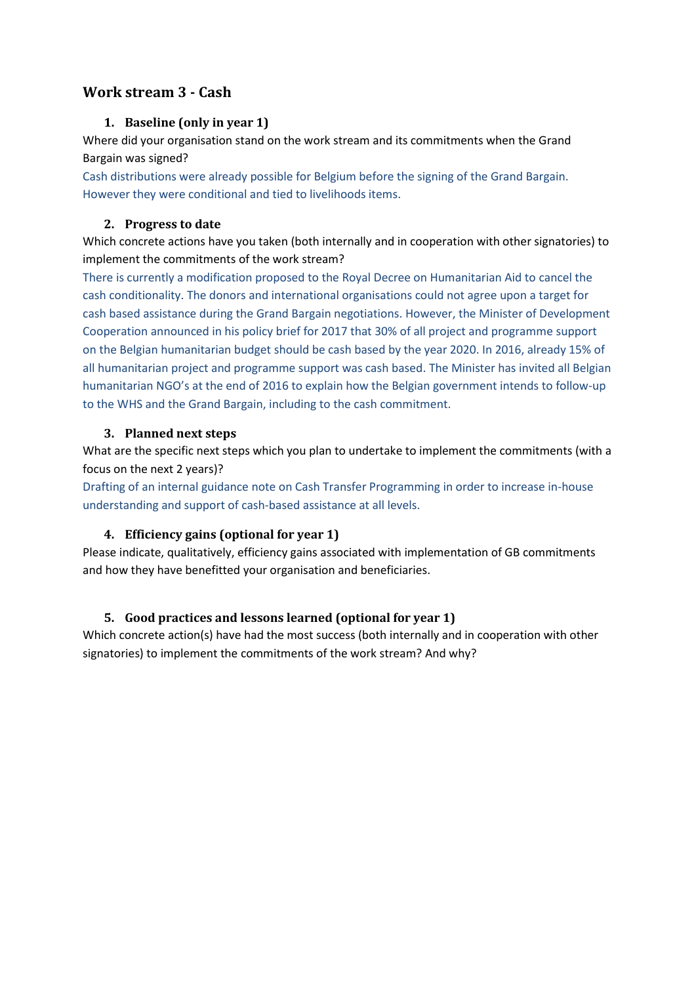# <span id="page-4-1"></span><span id="page-4-0"></span>**Work stream 3 - Cash**

#### **1. Baseline (only in year 1)**

Where did your organisation stand on the work stream and its commitments when the Grand Bargain was signed?

Cash distributions were already possible for Belgium before the signing of the Grand Bargain. However they were conditional and tied to livelihoods items.

#### <span id="page-4-2"></span>**2. Progress to date**

Which concrete actions have you taken (both internally and in cooperation with other signatories) to implement the commitments of the work stream?

There is currently a modification proposed to the Royal Decree on Humanitarian Aid to cancel the cash conditionality. The donors and international organisations could not agree upon a target for cash based assistance during the Grand Bargain negotiations. However, the Minister of Development Cooperation announced in his policy brief for 2017 that 30% of all project and programme support on the Belgian humanitarian budget should be cash based by the year 2020. In 2016, already 15% of all humanitarian project and programme support was cash based. The Minister has invited all Belgian humanitarian NGO's at the end of 2016 to explain how the Belgian government intends to follow-up to the WHS and the Grand Bargain, including to the cash commitment.

#### <span id="page-4-3"></span>**3. Planned next steps**

What are the specific next steps which you plan to undertake to implement the commitments (with a focus on the next 2 years)?

Drafting of an internal guidance note on Cash Transfer Programming in order to increase in-house understanding and support of cash-based assistance at all levels.

#### <span id="page-4-4"></span>**4. Efficiency gains (optional for year 1)**

Please indicate, qualitatively, efficiency gains associated with implementation of GB commitments and how they have benefitted your organisation and beneficiaries.

#### <span id="page-4-5"></span>**5. Good practices and lessons learned (optional for year 1)**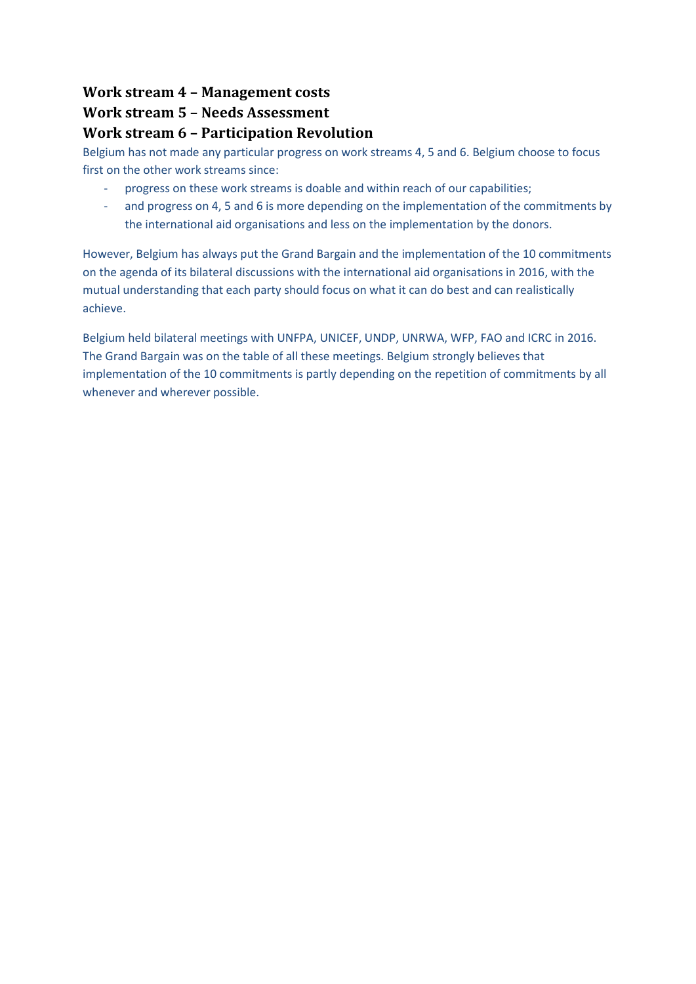# <span id="page-5-1"></span><span id="page-5-0"></span>**Work stream 4 – Management costs Work stream 5 – Needs Assessment Work stream 6 – Participation Revolution**

Belgium has not made any particular progress on work streams 4, 5 and 6. Belgium choose to focus first on the other work streams since:

- <span id="page-5-2"></span>- progress on these work streams is doable and within reach of our capabilities;
- and progress on 4, 5 and 6 is more depending on the implementation of the commitments by the international aid organisations and less on the implementation by the donors.

However, Belgium has always put the Grand Bargain and the implementation of the 10 commitments on the agenda of its bilateral discussions with the international aid organisations in 2016, with the mutual understanding that each party should focus on what it can do best and can realistically achieve.

Belgium held bilateral meetings with UNFPA, UNICEF, UNDP, UNRWA, WFP, FAO and ICRC in 2016. The Grand Bargain was on the table of all these meetings. Belgium strongly believes that implementation of the 10 commitments is partly depending on the repetition of commitments by all whenever and wherever possible.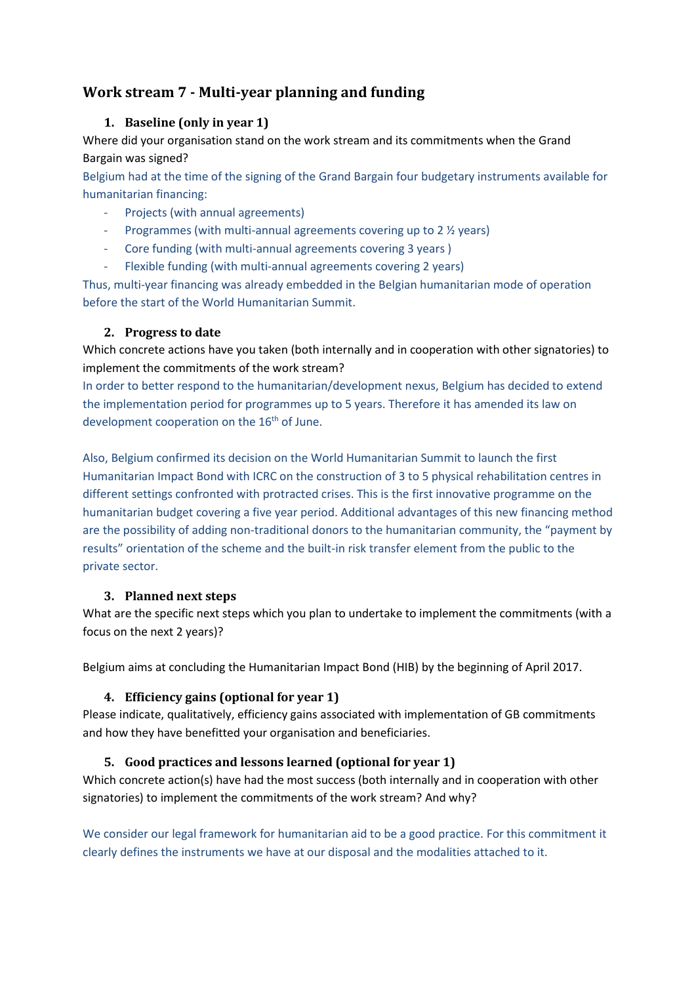# <span id="page-6-1"></span><span id="page-6-0"></span>**Work stream 7 - Multi-year planning and funding**

### **1. Baseline (only in year 1)**

Where did your organisation stand on the work stream and its commitments when the Grand Bargain was signed?

Belgium had at the time of the signing of the Grand Bargain four budgetary instruments available for humanitarian financing:

- Projects (with annual agreements)
- Programmes (with multi-annual agreements covering up to 2 ½ years)
- Core funding (with multi-annual agreements covering 3 years )
- Flexible funding (with multi-annual agreements covering 2 years)

Thus, multi-year financing was already embedded in the Belgian humanitarian mode of operation before the start of the World Humanitarian Summit.

### <span id="page-6-2"></span>**2. Progress to date**

Which concrete actions have you taken (both internally and in cooperation with other signatories) to implement the commitments of the work stream?

In order to better respond to the humanitarian/development nexus, Belgium has decided to extend the implementation period for programmes up to 5 years. Therefore it has amended its law on development cooperation on the  $16<sup>th</sup>$  of June.

Also, Belgium confirmed its decision on the World Humanitarian Summit to launch the first Humanitarian Impact Bond with ICRC on the construction of 3 to 5 physical rehabilitation centres in different settings confronted with protracted crises. This is the first innovative programme on the humanitarian budget covering a five year period. Additional advantages of this new financing method are the possibility of adding non-traditional donors to the humanitarian community, the "payment by results" orientation of the scheme and the built-in risk transfer element from the public to the private sector.

#### <span id="page-6-3"></span>**3. Planned next steps**

What are the specific next steps which you plan to undertake to implement the commitments (with a focus on the next 2 years)?

<span id="page-6-4"></span>Belgium aims at concluding the Humanitarian Impact Bond (HIB) by the beginning of April 2017.

## **4. Efficiency gains (optional for year 1)**

Please indicate, qualitatively, efficiency gains associated with implementation of GB commitments and how they have benefitted your organisation and beneficiaries.

## <span id="page-6-5"></span>**5. Good practices and lessons learned (optional for year 1)**

Which concrete action(s) have had the most success (both internally and in cooperation with other signatories) to implement the commitments of the work stream? And why?

We consider our legal framework for humanitarian aid to be a good practice. For this commitment it clearly defines the instruments we have at our disposal and the modalities attached to it.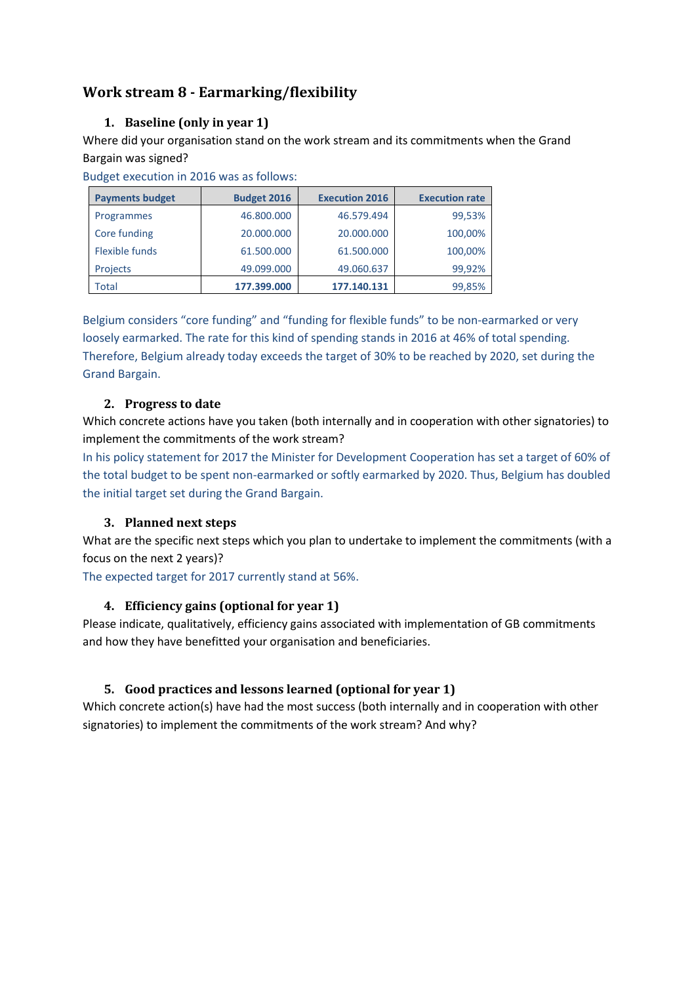# <span id="page-7-1"></span><span id="page-7-0"></span>**Work stream 8 - Earmarking/flexibility**

### **1. Baseline (only in year 1)**

Where did your organisation stand on the work stream and its commitments when the Grand Bargain was signed?

Budget execution in 2016 was as follows:

| <b>Payments budget</b> | <b>Budget 2016</b> | <b>Execution 2016</b> | <b>Execution rate</b> |
|------------------------|--------------------|-----------------------|-----------------------|
| Programmes             | 46.800.000         | 46.579.494            | 99,53%                |
| Core funding           | 20.000.000         | 20,000,000            | 100,00%               |
| Flexible funds         | 61.500.000         | 61.500.000            | 100,00%               |
| Projects               | 49.099.000         | 49.060.637            | 99,92%                |
| Total                  | 177.399.000        | 177.140.131           | 99,85%                |

Belgium considers "core funding" and "funding for flexible funds" to be non-earmarked or very loosely earmarked. The rate for this kind of spending stands in 2016 at 46% of total spending. Therefore, Belgium already today exceeds the target of 30% to be reached by 2020, set during the Grand Bargain.

#### <span id="page-7-2"></span>**2. Progress to date**

Which concrete actions have you taken (both internally and in cooperation with other signatories) to implement the commitments of the work stream?

In his policy statement for 2017 the Minister for Development Cooperation has set a target of 60% of the total budget to be spent non-earmarked or softly earmarked by 2020. Thus, Belgium has doubled the initial target set during the Grand Bargain.

#### <span id="page-7-3"></span>**3. Planned next steps**

What are the specific next steps which you plan to undertake to implement the commitments (with a focus on the next 2 years)?

<span id="page-7-4"></span>The expected target for 2017 currently stand at 56%.

#### **4. Efficiency gains (optional for year 1)**

Please indicate, qualitatively, efficiency gains associated with implementation of GB commitments and how they have benefitted your organisation and beneficiaries.

#### <span id="page-7-5"></span>**5. Good practices and lessons learned (optional for year 1)**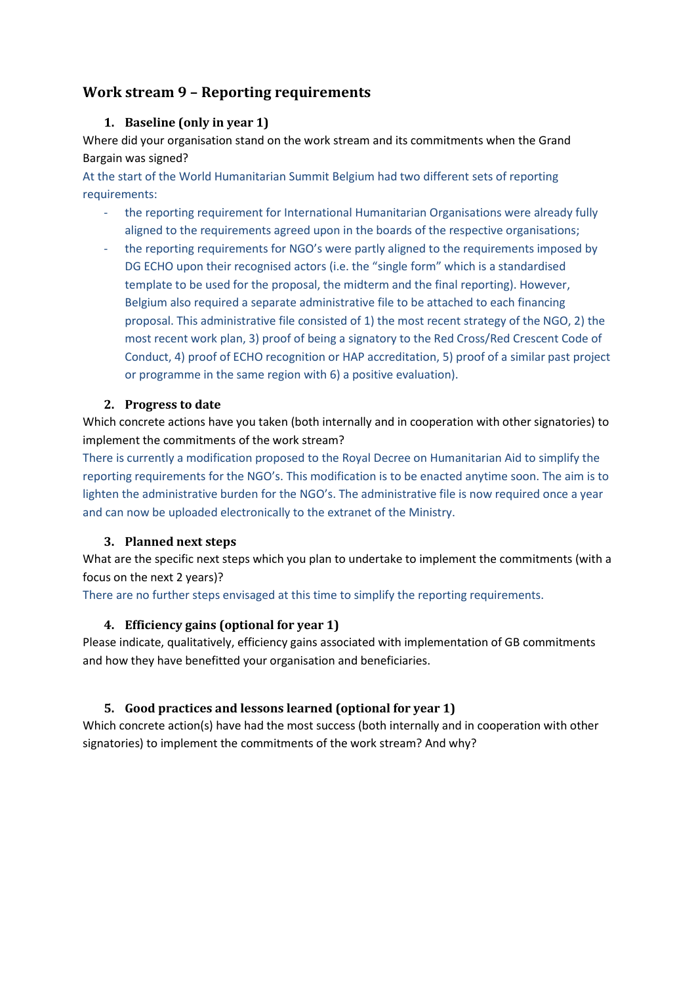# <span id="page-8-1"></span><span id="page-8-0"></span>**Work stream 9 – Reporting requirements**

#### **1. Baseline (only in year 1)**

Where did your organisation stand on the work stream and its commitments when the Grand Bargain was signed?

At the start of the World Humanitarian Summit Belgium had two different sets of reporting requirements:

- the reporting requirement for International Humanitarian Organisations were already fully aligned to the requirements agreed upon in the boards of the respective organisations;
- the reporting requirements for NGO's were partly aligned to the requirements imposed by DG ECHO upon their recognised actors (i.e. the "single form" which is a standardised template to be used for the proposal, the midterm and the final reporting). However, Belgium also required a separate administrative file to be attached to each financing proposal. This administrative file consisted of 1) the most recent strategy of the NGO, 2) the most recent work plan, 3) proof of being a signatory to the Red Cross/Red Crescent Code of Conduct, 4) proof of ECHO recognition or HAP accreditation, 5) proof of a similar past project or programme in the same region with 6) a positive evaluation).

#### <span id="page-8-2"></span>**2. Progress to date**

Which concrete actions have you taken (both internally and in cooperation with other signatories) to implement the commitments of the work stream?

There is currently a modification proposed to the Royal Decree on Humanitarian Aid to simplify the reporting requirements for the NGO's. This modification is to be enacted anytime soon. The aim is to lighten the administrative burden for the NGO's. The administrative file is now required once a year and can now be uploaded electronically to the extranet of the Ministry.

#### <span id="page-8-3"></span>**3. Planned next steps**

What are the specific next steps which you plan to undertake to implement the commitments (with a focus on the next 2 years)?

<span id="page-8-4"></span>There are no further steps envisaged at this time to simplify the reporting requirements.

#### **4. Efficiency gains (optional for year 1)**

Please indicate, qualitatively, efficiency gains associated with implementation of GB commitments and how they have benefitted your organisation and beneficiaries.

#### <span id="page-8-5"></span>**5. Good practices and lessons learned (optional for year 1)**